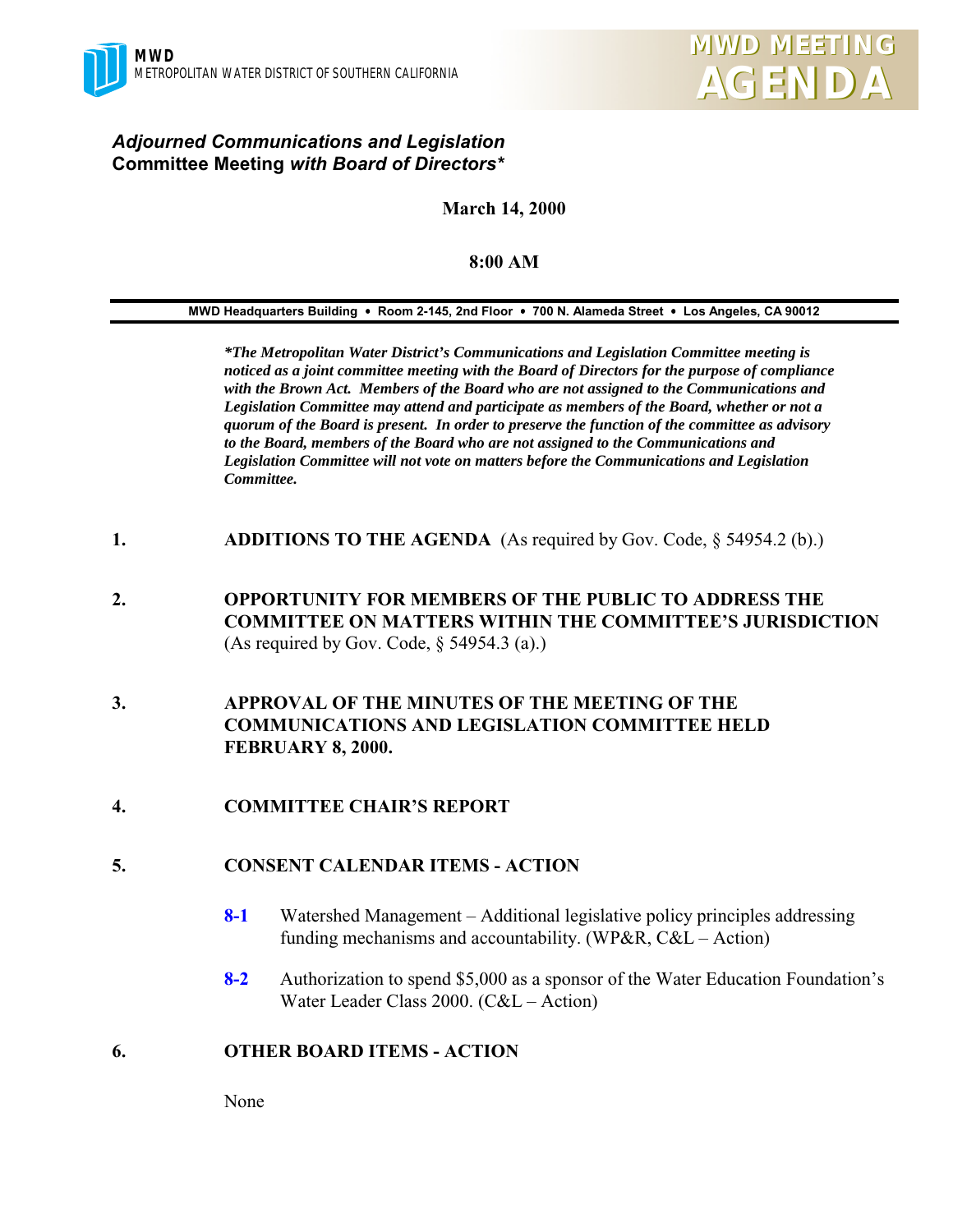### *Adjourned Communications and Legislation* **Committee Meeting** *with Board of Directors\**

## **March 14, 2000**

#### **8:00 AM**

**MWD Headquarters Building** ! **Room 2-145, 2nd Floor** ! **700 N. Alameda Street** ! **Los Angeles, CA 90012**

*\*The Metropolitan Water District's Communications and Legislation Committee meeting is noticed as a joint committee meeting with the Board of Directors for the purpose of compliance with the Brown Act. Members of the Board who are not assigned to the Communications and Legislation Committee may attend and participate as members of the Board, whether or not a quorum of the Board is present. In order to preserve the function of the committee as advisory to the Board, members of the Board who are not assigned to the Communications and Legislation Committee will not vote on matters before the Communications and Legislation Committee.*

- **1. ADDITIONS TO THE AGENDA** (As required by Gov. Code, § 54954.2 (b).)
- **2. OPPORTUNITY FOR MEMBERS OF THE PUBLIC TO ADDRESS THE COMMITTEE ON MATTERS WITHIN THE COMMITTEE'S JURISDICTION** (As required by Gov. Code, § 54954.3 (a).)
- **3. APPROVAL OF THE MINUTES OF THE MEETING OF THE COMMUNICATIONS AND LEGISLATION COMMITTEE HELD FEBRUARY 8, 2000.**
- **4. COMMITTEE CHAIR'S REPORT**

#### **5. CONSENT CALENDAR ITEMS - ACTION**

- **8-1** Watershed Management Additional legislative policy principles addressing funding mechanisms and accountability. (WP&R, C&L – Action)
- **8-2** Authorization to spend \$5,000 as a sponsor of the Water Education Foundation's Water Leader Class 2000. (C&L – Action)

#### **6. OTHER BOARD ITEMS - ACTION**

None